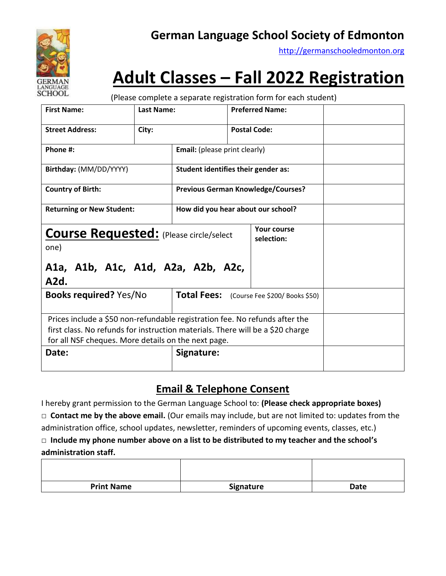

### **German Language School Society of Edmonton**

[http://germanschooledmonton.org](http://germanschooledmonton.org/)

# **Adult Classes – Fall 2022 Registration**

(Please complete a separate registration form for each student)

| <b>First Name:</b>                                                                           | <b>Last Name:</b> |                                           |  | <b>Preferred Name:</b>                     |  |
|----------------------------------------------------------------------------------------------|-------------------|-------------------------------------------|--|--------------------------------------------|--|
| <b>Street Address:</b>                                                                       | City:             |                                           |  | <b>Postal Code:</b>                        |  |
| Phone #:                                                                                     |                   | <b>Email:</b> (please print clearly)      |  |                                            |  |
| Birthday: (MM/DD/YYYY)                                                                       |                   | Student identifies their gender as:       |  |                                            |  |
| <b>Country of Birth:</b>                                                                     |                   | <b>Previous German Knowledge/Courses?</b> |  |                                            |  |
| <b>Returning or New Student:</b>                                                             |                   | How did you hear about our school?        |  |                                            |  |
| <b>Course Requested:</b> (Please circle/select<br>one)<br>A1a, A1b, A1c, A1d, A2a, A2b, A2c, |                   |                                           |  | Your course<br>selection:                  |  |
| A2d.                                                                                         |                   |                                           |  |                                            |  |
| <b>Books required? Yes/No</b>                                                                |                   |                                           |  | Total Fees: (Course Fee \$200/ Books \$50) |  |
| Prices include a \$50 non-refundable registration fee. No refunds after the                  |                   |                                           |  |                                            |  |
| first class. No refunds for instruction materials. There will be a \$20 charge               |                   |                                           |  |                                            |  |
| for all NSF cheques. More details on the next page.                                          |                   |                                           |  |                                            |  |
| Date:                                                                                        |                   | Signature:                                |  |                                            |  |

### **Email & Telephone Consent**

I hereby grant permission to the German Language School to: **(Please check appropriate boxes) □ Contact me by the above email.** (Our emails may include, but are not limited to: updates from the administration office, school updates, newsletter, reminders of upcoming events, classes, etc.)

#### □ **Include my phone number above on a list to be distributed to my teacher and the school's administration staff.**

| <b>Print Name</b> | <b>Signature</b> | <b>Date</b> |
|-------------------|------------------|-------------|